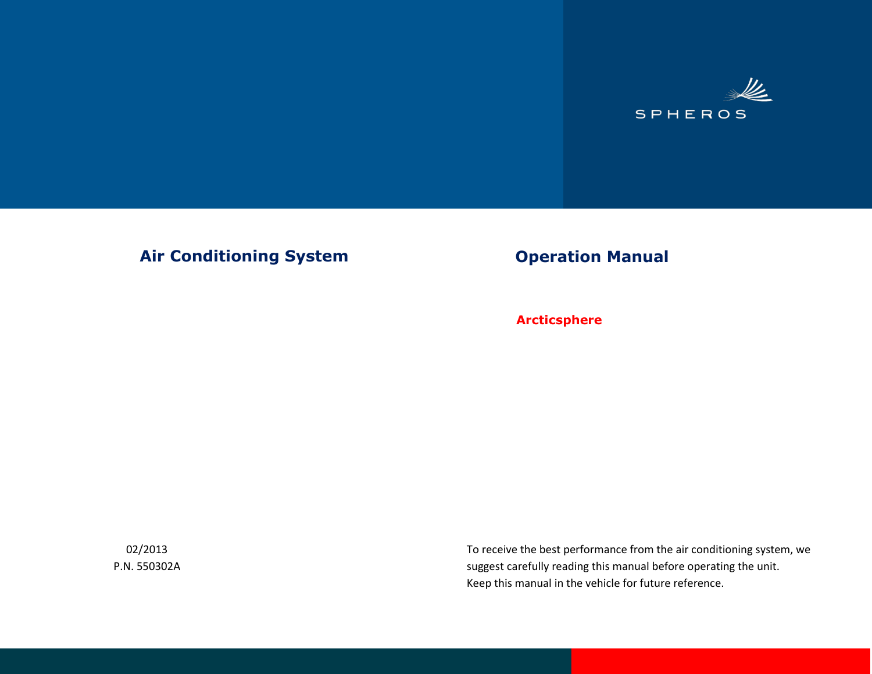

### Air Conditioning System **Operation Manual**

 **Arcticsphere**

02/2013 P.N. 550302A To receive the best performance from the air conditioning system, we suggest carefully reading this manual before operating the unit. Keep this manual in the vehicle for future reference.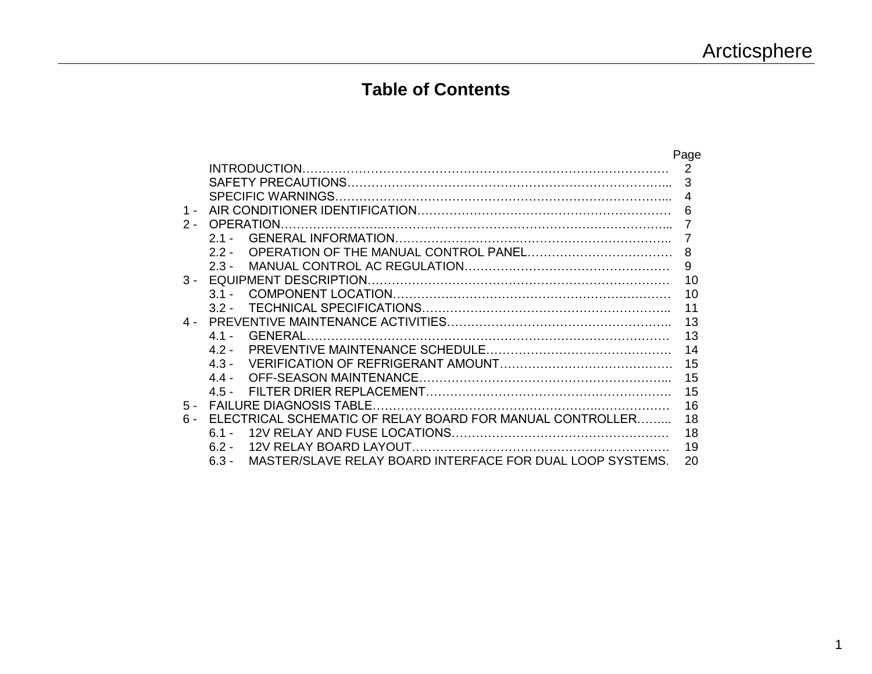### **Table of Contents**

|       |                                                                      | Page           |
|-------|----------------------------------------------------------------------|----------------|
|       |                                                                      | 2              |
|       |                                                                      | 3              |
|       |                                                                      | $\overline{4}$ |
| 1 -   |                                                                      | 6              |
| $2 -$ | <b>OPERATION</b>                                                     |                |
|       | $21 -$                                                               | 7              |
|       | 22-                                                                  | 8              |
|       | $23 -$                                                               | 9              |
| $3 -$ | EQUIPMENT DESCRIPTION.                                               | 10             |
|       | $31 -$                                                               | 10             |
|       | $32 -$                                                               | 11             |
|       |                                                                      | 13             |
|       | GENERAL.<br>41-                                                      | 13             |
|       | 42-                                                                  | 14             |
|       | $4.3 -$                                                              | 15             |
|       | $4.4 -$                                                              | 15             |
|       | 45 -                                                                 | 15             |
| $5 -$ |                                                                      | 16             |
| $6 -$ | ELECTRICAL SCHEMATIC OF RELAY BOARD FOR MANUAL CONTROLLER            | 18             |
|       | $61 -$                                                               | 18             |
|       | 62-                                                                  | 19             |
|       | MASTER/SLAVE RELAY BOARD INTERFACE FOR DUAL LOOP SYSTEMS.<br>$6.3 -$ | 20             |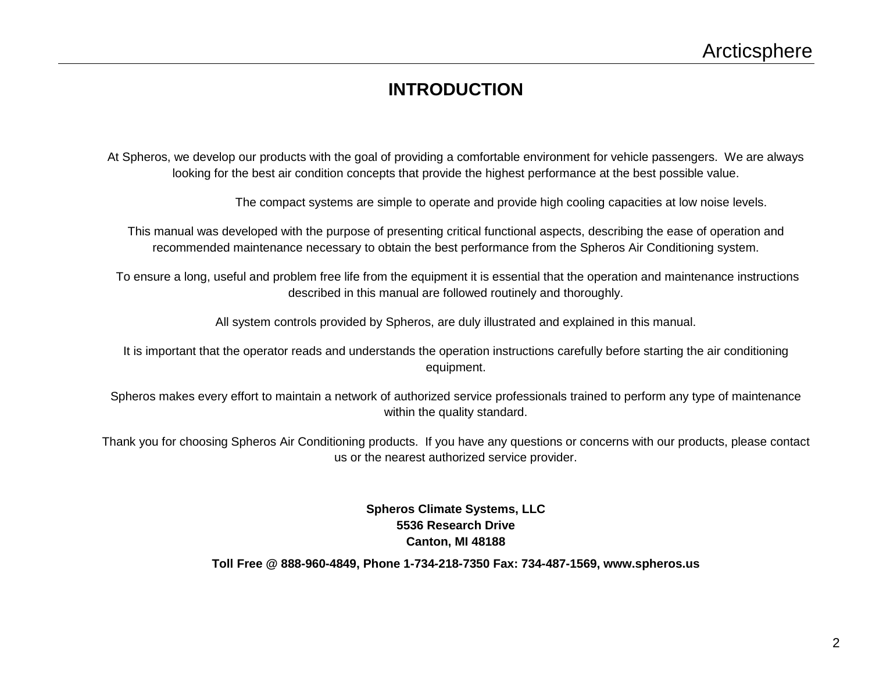### **INTRODUCTION**

At Spheros, we develop our products with the goal of providing a comfortable environment for vehicle passengers. We are always looking for the best air condition concepts that provide the highest performance at the best possible value.

The compact systems are simple to operate and provide high cooling capacities at low noise levels.

This manual was developed with the purpose of presenting critical functional aspects, describing the ease of operation and recommended maintenance necessary to obtain the best performance from the Spheros Air Conditioning system.

To ensure a long, useful and problem free life from the equipment it is essential that the operation and maintenance instructions described in this manual are followed routinely and thoroughly.

All system controls provided by Spheros, are duly illustrated and explained in this manual.

It is important that the operator reads and understands the operation instructions carefully before starting the air conditioning equipment.

Spheros makes every effort to maintain a network of authorized service professionals trained to perform any type of maintenance within the quality standard.

Thank you for choosing Spheros Air Conditioning products. If you have any questions or concerns with our products, please contact us or the nearest authorized service provider.

> **Spheros Climate Systems, LLC 5536 Research Drive Canton, MI 48188**

**Toll Free @ 888-960-4849, Phone 1-734-218-7350 Fax: 734-487-1569, www.spheros.us**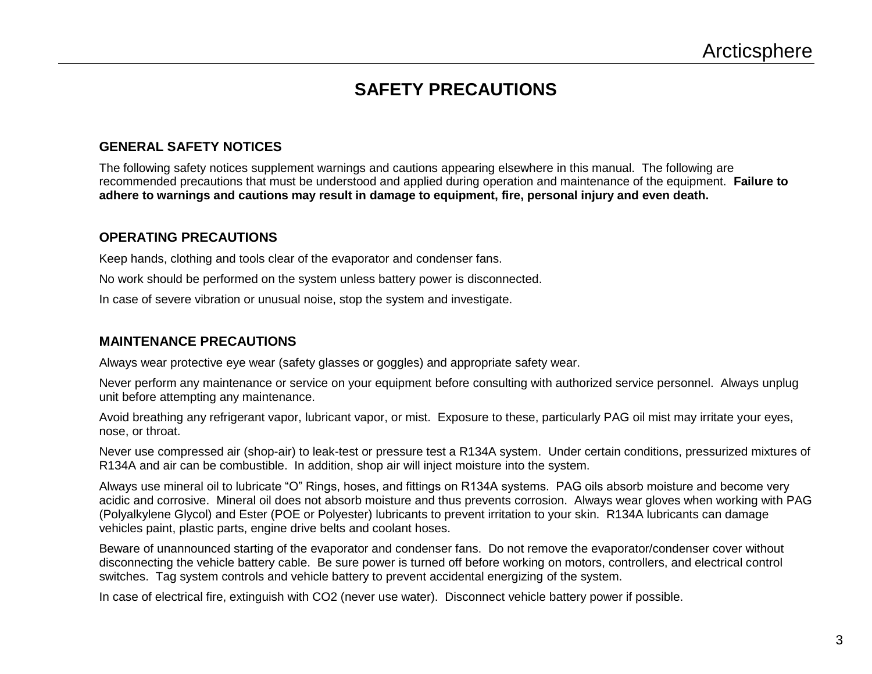### **SAFETY PRECAUTIONS**

#### **GENERAL SAFETY NOTICES**

The following safety notices supplement warnings and cautions appearing elsewhere in this manual. The following are recommended precautions that must be understood and applied during operation and maintenance of the equipment. **Failure to adhere to warnings and cautions may result in damage to equipment, fire, personal injury and even death.** 

#### **OPERATING PRECAUTIONS**

Keep hands, clothing and tools clear of the evaporator and condenser fans.

No work should be performed on the system unless battery power is disconnected.

In case of severe vibration or unusual noise, stop the system and investigate.

#### **MAINTENANCE PRECAUTIONS**

Always wear protective eye wear (safety glasses or goggles) and appropriate safety wear.

Never perform any maintenance or service on your equipment before consulting with authorized service personnel. Always unplug unit before attempting any maintenance.

Avoid breathing any refrigerant vapor, lubricant vapor, or mist. Exposure to these, particularly PAG oil mist may irritate your eyes, nose, or throat.

Never use compressed air (shop-air) to leak-test or pressure test a R134A system. Under certain conditions, pressurized mixtures of R134A and air can be combustible. In addition, shop air will inject moisture into the system.

Always use mineral oil to lubricate "O" Rings, hoses, and fittings on R134A systems. PAG oils absorb moisture and become very acidic and corrosive. Mineral oil does not absorb moisture and thus prevents corrosion. Always wear gloves when working with PAG (Polyalkylene Glycol) and Ester (POE or Polyester) lubricants to prevent irritation to your skin. R134A lubricants can damage vehicles paint, plastic parts, engine drive belts and coolant hoses.

Beware of unannounced starting of the evaporator and condenser fans. Do not remove the evaporator/condenser cover without disconnecting the vehicle battery cable. Be sure power is turned off before working on motors, controllers, and electrical control switches. Tag system controls and vehicle battery to prevent accidental energizing of the system.

In case of electrical fire, extinguish with CO2 (never use water). Disconnect vehicle battery power if possible.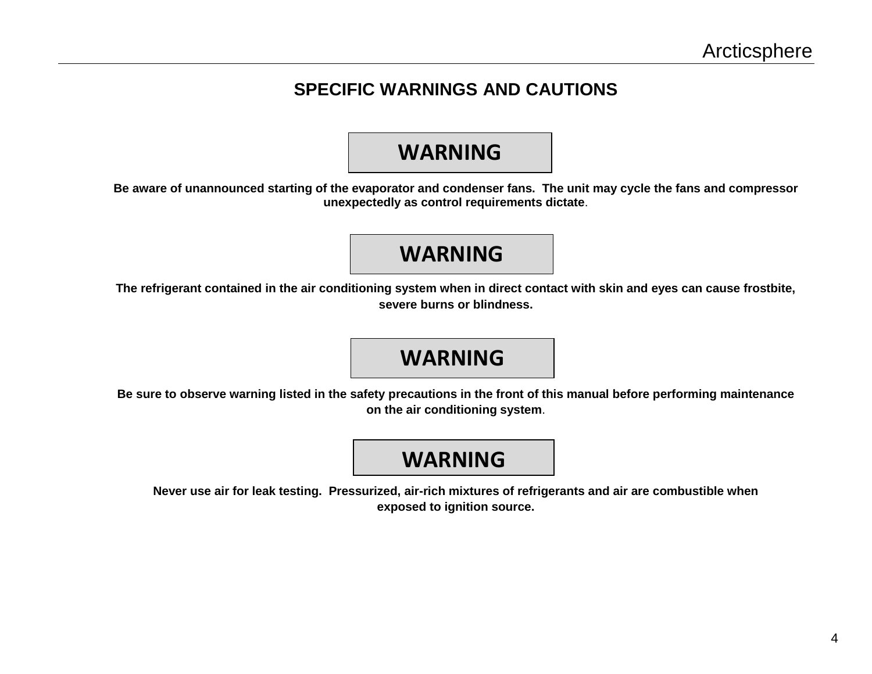### **SPECIFIC WARNINGS AND CAUTIONS**

### **WARNING**

**Be aware of unannounced starting of the evaporator and condenser fans. The unit may cycle the fans and compressor unexpectedly as control requirements dictate**.

### **WARNING**

**The refrigerant contained in the air conditioning system when in direct contact with skin and eyes can cause frostbite, severe burns or blindness.**

## **WARNING**

**Be sure to observe warning listed in the safety precautions in the front of this manual before performing maintenance on the air conditioning system**.

## **WARNING**

**Never use air for leak testing. Pressurized, air-rich mixtures of refrigerants and air are combustible when exposed to ignition source.**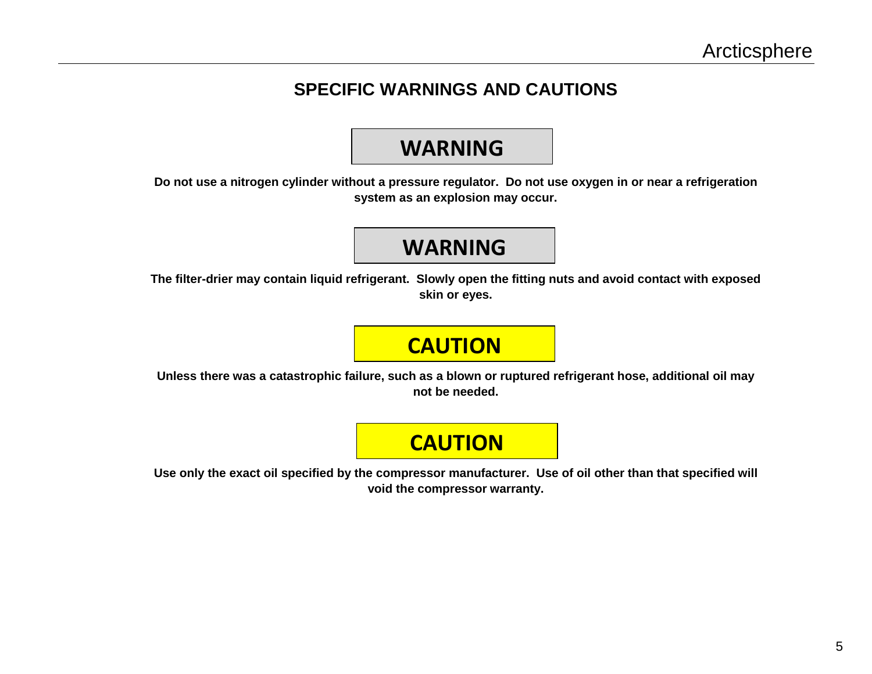### **SPECIFIC WARNINGS AND CAUTIONS**

### **WARNING**

**Do not use a nitrogen cylinder without a pressure regulator. Do not use oxygen in or near a refrigeration system as an explosion may occur.**

# **WARNING**

**The filter-drier may contain liquid refrigerant. Slowly open the fitting nuts and avoid contact with exposed skin or eyes.**

# **CAUTION**

**Unless there was a catastrophic failure, such as a blown or ruptured refrigerant hose, additional oil may not be needed.**

# **CAUTION**

**Use only the exact oil specified by the compressor manufacturer. Use of oil other than that specified will void the compressor warranty.**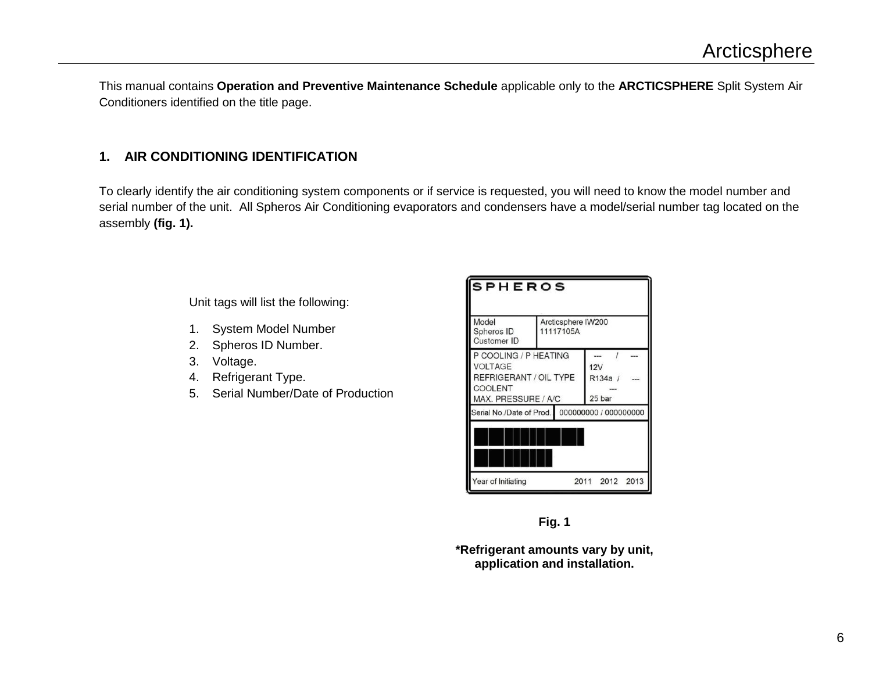This manual contains **Operation and Preventive Maintenance Schedule** applicable only to the **ARCTICSPHERE** Split System Air Conditioners identified on the title page.

#### **1. AIR CONDITIONING IDENTIFICATION**

To clearly identify the air conditioning system components or if service is requested, you will need to know the model number and serial number of the unit. All Spheros Air Conditioning evaporators and condensers have a model/serial number tag located on the assembly **(fig. 1).**

Unit tags will list the following:

- 1. System Model Number
- 2. Spheros ID Number.
- 3. Voltage.
- 4. Refrigerant Type.
- 5. Serial Number/Date of Production

| <b>SPHEROS</b>                                                                                      |                                                |  |  |  |  |  |
|-----------------------------------------------------------------------------------------------------|------------------------------------------------|--|--|--|--|--|
| Model<br>Spheros ID<br>Customer ID                                                                  | Arcticsphere IW200<br>11117105A                |  |  |  |  |  |
| P COOLING / P HEATING<br><b>VOLTAGE</b><br>REFRIGERANT / OIL TYPE<br>COOLENT<br>MAX. PRESSURE / A/C | 12V<br>R134a /<br>25 bar                       |  |  |  |  |  |
|                                                                                                     | Serial No./Date of Prod. 000000000 / 000000000 |  |  |  |  |  |
| Year of Initiating                                                                                  | 2012 2013<br>2011                              |  |  |  |  |  |



**\*Refrigerant amounts vary by unit, application and installation.**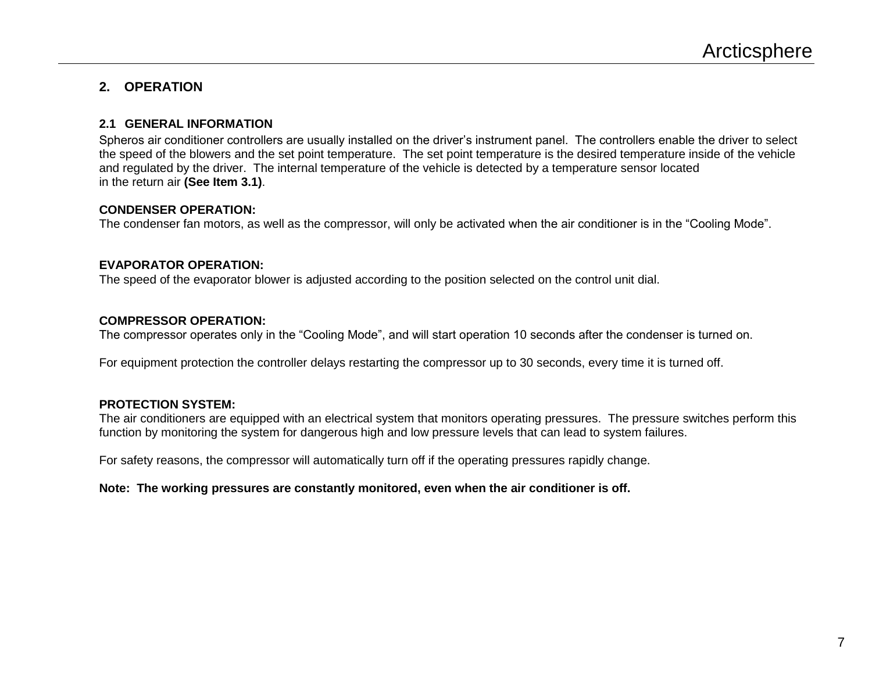#### **2. OPERATION**

#### **2.1 GENERAL INFORMATION**

Spheros air conditioner controllers are usually installed on the driver's instrument panel. The controllers enable the driver to select the speed of the blowers and the set point temperature. The set point temperature is the desired temperature inside of the vehicle and regulated by the driver. The internal temperature of the vehicle is detected by a temperature sensor located in the return air **(See Item 3.1)**.

#### **CONDENSER OPERATION:**

The condenser fan motors, as well as the compressor, will only be activated when the air conditioner is in the "Cooling Mode".

#### **EVAPORATOR OPERATION:**

The speed of the evaporator blower is adjusted according to the position selected on the control unit dial.

#### **COMPRESSOR OPERATION:**

The compressor operates only in the "Cooling Mode", and will start operation 10 seconds after the condenser is turned on.

For equipment protection the controller delays restarting the compressor up to 30 seconds, every time it is turned off.

#### **PROTECTION SYSTEM:**

The air conditioners are equipped with an electrical system that monitors operating pressures. The pressure switches perform this function by monitoring the system for dangerous high and low pressure levels that can lead to system failures.

For safety reasons, the compressor will automatically turn off if the operating pressures rapidly change.

#### **Note: The working pressures are constantly monitored, even when the air conditioner is off.**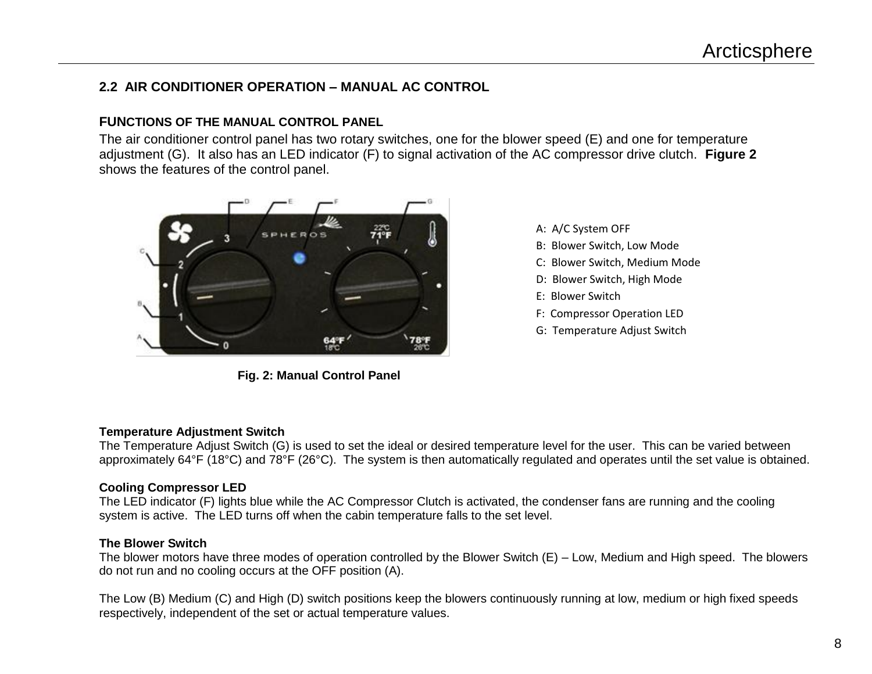#### **2.2 AIR CONDITIONER OPERATION – MANUAL AC CONTROL**

#### **FUNCTIONS OF THE MANUAL CONTROL PANEL**

The air conditioner control panel has two rotary switches, one for the blower speed (E) and one for temperature adjustment (G). It also has an LED indicator (F) to signal activation of the AC compressor drive clutch. **Figure 2** shows the features of the control panel.



**Fig. 2: Manual Control Panel**

A: A/C System OFF B: Blower Switch, Low Mode C: Blower Switch, Medium Mode D: Blower Switch, High Mode E: Blower Switch F: Compressor Operation LED G: Temperature Adjust Switch

#### **Temperature Adjustment Switch**

The Temperature Adjust Switch (G) is used to set the ideal or desired temperature level for the user. This can be varied between approximately 64°F (18°C) and 78°F (26°C). The system is then automatically regulated and operates until the set value is obtained.

#### **Cooling Compressor LED**

The LED indicator (F) lights blue while the AC Compressor Clutch is activated, the condenser fans are running and the cooling system is active. The LED turns off when the cabin temperature falls to the set level.

#### **The Blower Switch**

The blower motors have three modes of operation controlled by the Blower Switch (E) – Low, Medium and High speed. The blowers do not run and no cooling occurs at the OFF position (A).

The Low (B) Medium (C) and High (D) switch positions keep the blowers continuously running at low, medium or high fixed speeds respectively, independent of the set or actual temperature values.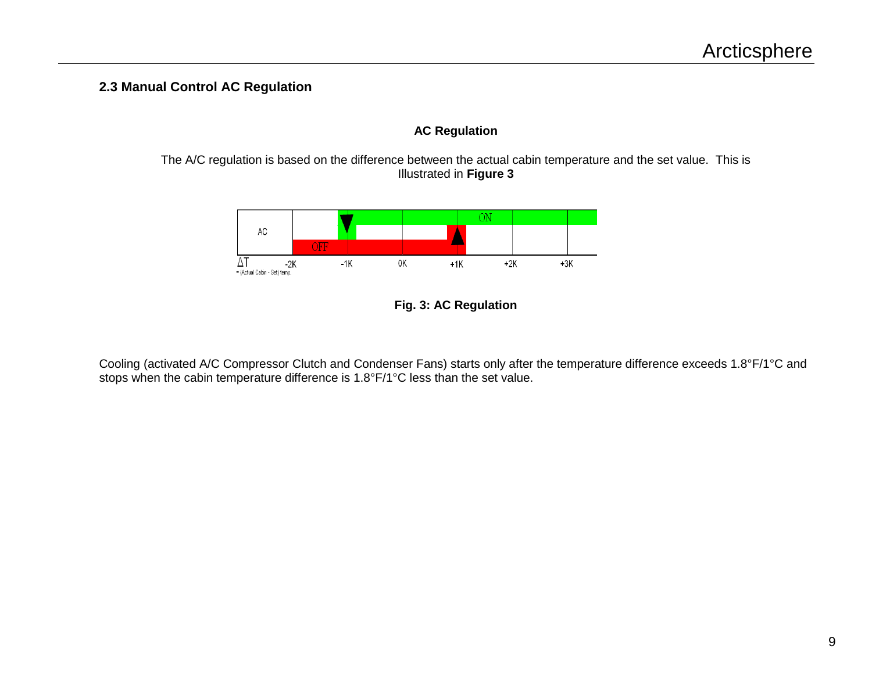#### **2.3 Manual Control AC Regulation**

#### **AC Regulation**

The A/C regulation is based on the difference between the actual cabin temperature and the set value. This is Illustrated in **Figure 3**





Cooling (activated A/C Compressor Clutch and Condenser Fans) starts only after the temperature difference exceeds 1.8°F/1°C and stops when the cabin temperature difference is 1.8°F/1°C less than the set value.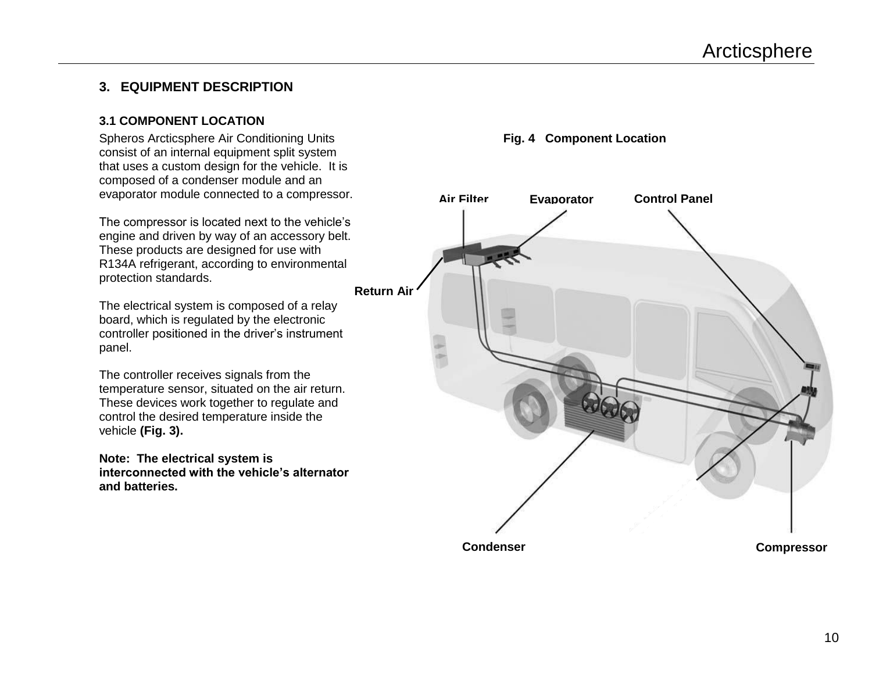#### **3. EQUIPMENT DESCRIPTION**

#### **3.1 COMPONENT LOCATION**

Spheros Arcticsphere Air Conditioning Units consist of an internal equipment split system that uses a custom design for the vehicle. It is composed of a condenser module and an evaporator module connected to a compressor.

The compressor is located next to the vehicle's engine and driven by way of an accessory belt. These products are designed for use with R134A refrigerant, according to environmental protection standards.

The electrical system is composed of a relay board, which is regulated by the electronic controller positioned in the driver's instrument panel.

The controller receives signals from the temperature sensor, situated on the air return. These devices work together to regulate and control the desired temperature inside the vehicle **(Fig. 3).**

**Note: The electrical system is interconnected with the vehicle's alternator and batteries.**



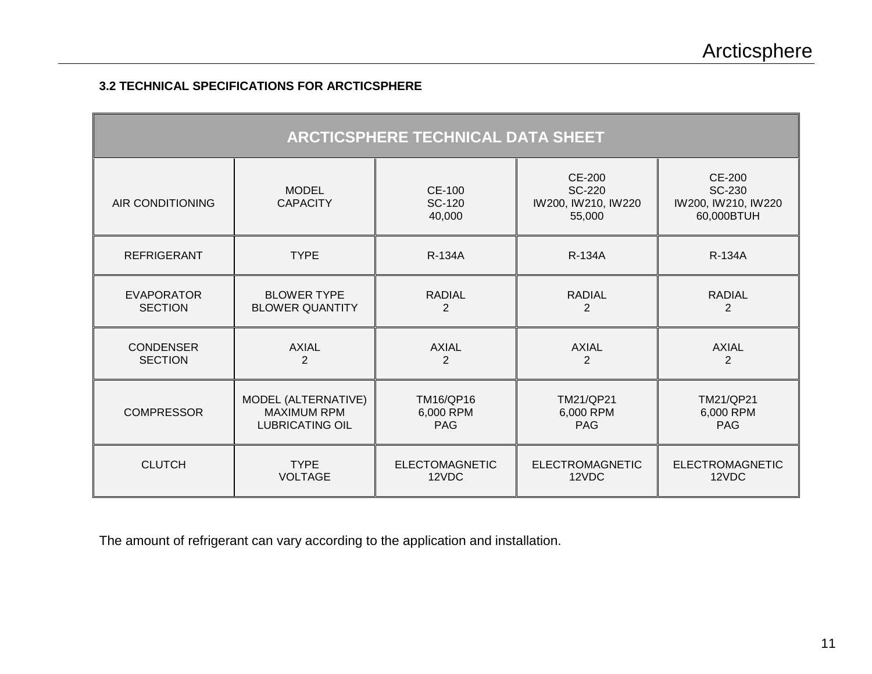#### **3.2 TECHNICAL SPECIFICATIONS FOR ARCTICSPHERE**

| <b>ARCTICSPHERE TECHNICAL DATA SHEET</b> |                                 |                                   |                                                                 |                                                              |  |  |  |  |
|------------------------------------------|---------------------------------|-----------------------------------|-----------------------------------------------------------------|--------------------------------------------------------------|--|--|--|--|
| AIR CONDITIONING                         | <b>MODEL</b><br><b>CAPACITY</b> | <b>CE-100</b><br>SC-120<br>40,000 | <b>CE-200</b><br><b>SC-220</b><br>IW200, IW210, IW220<br>55,000 | <b>CE-200</b><br>SC-230<br>IW200, IW210, IW220<br>60,000BTUH |  |  |  |  |
| <b>REFRIGERANT</b>                       | <b>TYPE</b>                     | <b>R-134A</b>                     | <b>R-134A</b>                                                   | R-134A                                                       |  |  |  |  |
| <b>EVAPORATOR</b>                        | <b>BLOWER TYPE</b>              | <b>RADIAL</b>                     | <b>RADIAL</b>                                                   | <b>RADIAL</b>                                                |  |  |  |  |
| <b>SECTION</b>                           | <b>BLOWER QUANTITY</b>          | $\overline{2}$                    | $\overline{2}$                                                  | $\overline{2}$                                               |  |  |  |  |
| <b>CONDENSER</b>                         | <b>AXIAL</b>                    | <b>AXIAL</b>                      | <b>AXIAL</b>                                                    | <b>AXIAL</b>                                                 |  |  |  |  |
| <b>SECTION</b>                           | $\overline{2}$                  | $\overline{2}$                    | $\overline{2}$                                                  | $\overline{2}$                                               |  |  |  |  |
| <b>COMPRESSOR</b>                        | MODEL (ALTERNATIVE)             | TM16/QP16                         | <b>TM21/QP21</b>                                                | <b>TM21/QP21</b>                                             |  |  |  |  |
|                                          | <b>MAXIMUM RPM</b>              | 6,000 RPM                         | 6,000 RPM                                                       | 6,000 RPM                                                    |  |  |  |  |
|                                          | <b>LUBRICATING OIL</b>          | <b>PAG</b>                        | <b>PAG</b>                                                      | <b>PAG</b>                                                   |  |  |  |  |
| <b>CLUTCH</b>                            | <b>TYPE</b>                     | <b>ELECTOMAGNETIC</b>             | <b>ELECTROMAGNETIC</b>                                          | <b>ELECTROMAGNETIC</b>                                       |  |  |  |  |
|                                          | <b>VOLTAGE</b>                  | 12VDC                             | 12VDC                                                           | 12VDC                                                        |  |  |  |  |

The amount of refrigerant can vary according to the application and installation.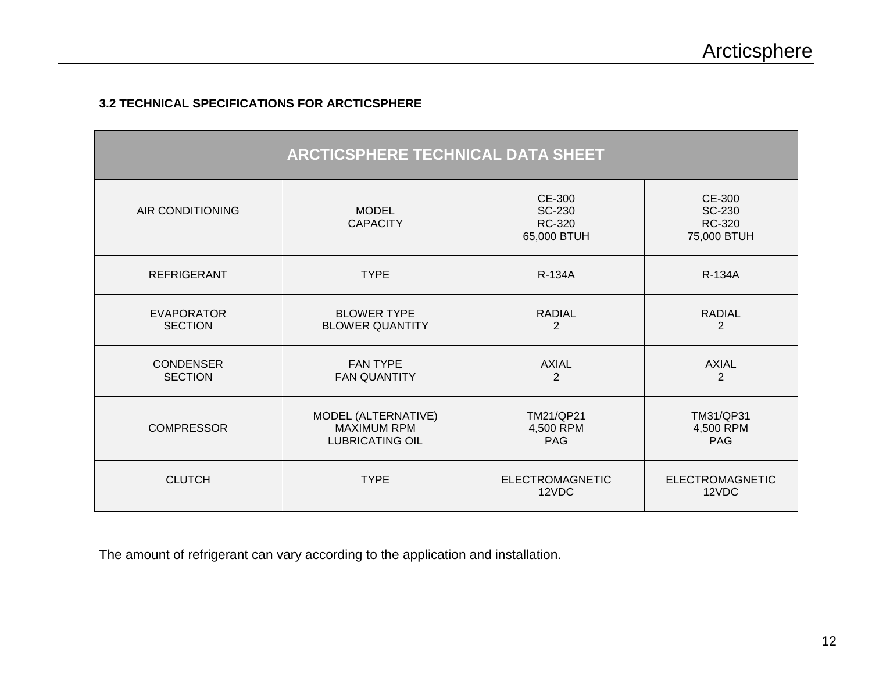#### **3.2 TECHNICAL SPECIFICATIONS FOR ARCTICSPHERE**

| <b>ARCTICSPHERE TECHNICAL DATA SHEET</b> |                                                                     |                                           |                                                  |  |  |  |
|------------------------------------------|---------------------------------------------------------------------|-------------------------------------------|--------------------------------------------------|--|--|--|
| AIR CONDITIONING                         | <b>MODEL</b><br><b>CAPACITY</b>                                     | CE-300<br>SC-230<br>RC-320<br>65,000 BTUH | CE-300<br>SC-230<br><b>RC-320</b><br>75,000 BTUH |  |  |  |
| <b>REFRIGERANT</b>                       | <b>TYPE</b>                                                         | <b>R-134A</b>                             | <b>R-134A</b>                                    |  |  |  |
| <b>EVAPORATOR</b><br><b>SECTION</b>      | <b>BLOWER TYPE</b><br><b>BLOWER QUANTITY</b>                        | <b>RADIAL</b><br>$\overline{2}$           | <b>RADIAL</b><br>2                               |  |  |  |
| <b>CONDENSER</b><br><b>SECTION</b>       | <b>FAN TYPE</b><br><b>FAN QUANTITY</b>                              | <b>AXIAL</b><br>$\overline{2}$            | <b>AXIAL</b><br>$\overline{2}$                   |  |  |  |
| <b>COMPRESSOR</b>                        | MODEL (ALTERNATIVE)<br><b>MAXIMUM RPM</b><br><b>LUBRICATING OIL</b> | TM21/QP21<br>4,500 RPM<br><b>PAG</b>      | TM31/QP31<br>4,500 RPM<br><b>PAG</b>             |  |  |  |
| <b>CLUTCH</b>                            | <b>TYPE</b>                                                         | <b>ELECTROMAGNETIC</b><br>12VDC           | <b>ELECTROMAGNETIC</b><br>12VDC                  |  |  |  |

The amount of refrigerant can vary according to the application and installation.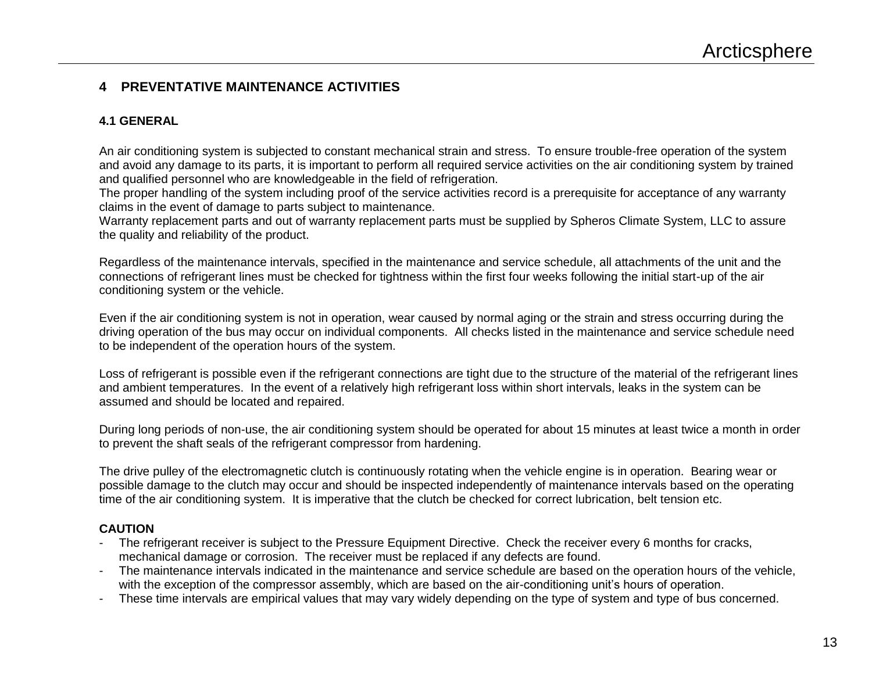#### **4 PREVENTATIVE MAINTENANCE ACTIVITIES**

#### **4.1 GENERAL**

An air conditioning system is subjected to constant mechanical strain and stress. To ensure trouble-free operation of the system and avoid any damage to its parts, it is important to perform all required service activities on the air conditioning system by trained and qualified personnel who are knowledgeable in the field of refrigeration.

The proper handling of the system including proof of the service activities record is a prerequisite for acceptance of any warranty claims in the event of damage to parts subject to maintenance.

Warranty replacement parts and out of warranty replacement parts must be supplied by Spheros Climate System, LLC to assure the quality and reliability of the product.

Regardless of the maintenance intervals, specified in the maintenance and service schedule, all attachments of the unit and the connections of refrigerant lines must be checked for tightness within the first four weeks following the initial start-up of the air conditioning system or the vehicle.

Even if the air conditioning system is not in operation, wear caused by normal aging or the strain and stress occurring during the driving operation of the bus may occur on individual components. All checks listed in the maintenance and service schedule need to be independent of the operation hours of the system.

Loss of refrigerant is possible even if the refrigerant connections are tight due to the structure of the material of the refrigerant lines and ambient temperatures. In the event of a relatively high refrigerant loss within short intervals, leaks in the system can be assumed and should be located and repaired.

During long periods of non-use, the air conditioning system should be operated for about 15 minutes at least twice a month in order to prevent the shaft seals of the refrigerant compressor from hardening.

The drive pulley of the electromagnetic clutch is continuously rotating when the vehicle engine is in operation. Bearing wear or possible damage to the clutch may occur and should be inspected independently of maintenance intervals based on the operating time of the air conditioning system. It is imperative that the clutch be checked for correct lubrication, belt tension etc.

#### **CAUTION**

- The refrigerant receiver is subject to the Pressure Equipment Directive. Check the receiver every 6 months for cracks, mechanical damage or corrosion. The receiver must be replaced if any defects are found.
- The maintenance intervals indicated in the maintenance and service schedule are based on the operation hours of the vehicle, with the exception of the compressor assembly, which are based on the air-conditioning unit's hours of operation.
- These time intervals are empirical values that may vary widely depending on the type of system and type of bus concerned.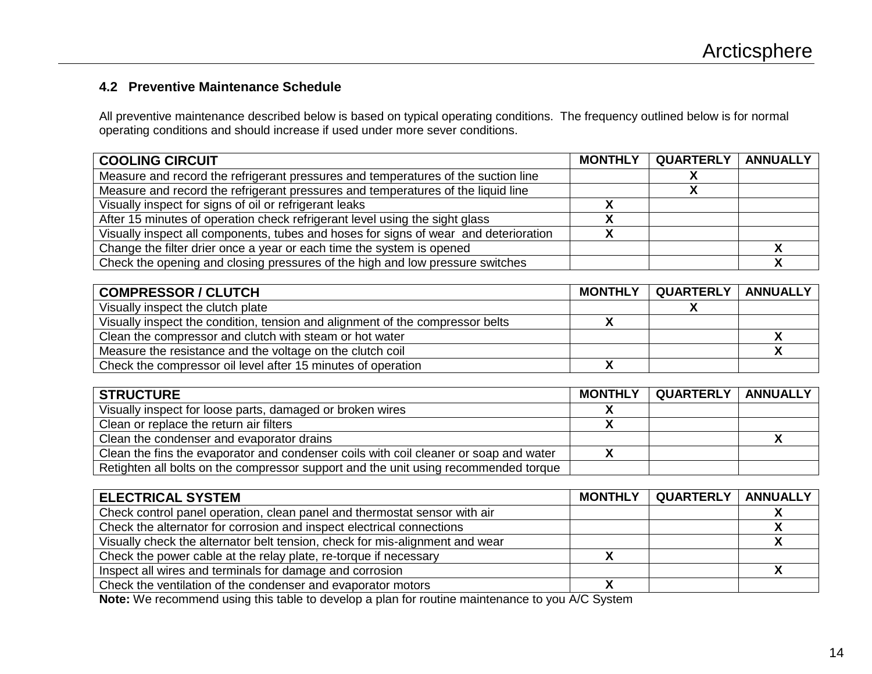### **4.2 Preventive Maintenance Schedule**

All preventive maintenance described below is based on typical operating conditions. The frequency outlined below is for normal operating conditions and should increase if used under more sever conditions.

| <b>COOLING CIRCUIT</b>                                                               | <b>MONTHLY</b> | QUARTERLY | ANNUALLY |
|--------------------------------------------------------------------------------------|----------------|-----------|----------|
| Measure and record the refrigerant pressures and temperatures of the suction line    |                |           |          |
| Measure and record the refrigerant pressures and temperatures of the liquid line     |                |           |          |
| Visually inspect for signs of oil or refrigerant leaks                               |                |           |          |
| After 15 minutes of operation check refrigerant level using the sight glass          |                |           |          |
| Visually inspect all components, tubes and hoses for signs of wear and deterioration |                |           |          |
| Change the filter drier once a year or each time the system is opened                |                |           |          |
| Check the opening and closing pressures of the high and low pressure switches        |                |           |          |

| <b>COMPRESSOR / CLUTCH</b>                                                    | <b>MONTHLY</b> | QUARTERLY   ANNUALLY |  |
|-------------------------------------------------------------------------------|----------------|----------------------|--|
| Visually inspect the clutch plate                                             |                |                      |  |
| Visually inspect the condition, tension and alignment of the compressor belts |                |                      |  |
| Clean the compressor and clutch with steam or hot water                       |                |                      |  |
| Measure the resistance and the voltage on the clutch coil                     |                |                      |  |
| Check the compressor oil level after 15 minutes of operation                  |                |                      |  |

| <b>STRUCTURE</b>                                                                      | <b>MONTHLY</b> | QUARTERLY | <b>ANNUALLY</b> |
|---------------------------------------------------------------------------------------|----------------|-----------|-----------------|
| Visually inspect for loose parts, damaged or broken wires                             |                |           |                 |
| Clean or replace the return air filters                                               |                |           |                 |
| Clean the condenser and evaporator drains                                             |                |           |                 |
| Clean the fins the evaporator and condenser coils with coil cleaner or soap and water |                |           |                 |
| Retighten all bolts on the compressor support and the unit using recommended torque   |                |           |                 |

| <b>ELECTRICAL SYSTEM</b>                                                     | <b>MONTHLY</b> | QUARTERLY   ANNUALLY |  |
|------------------------------------------------------------------------------|----------------|----------------------|--|
| Check control panel operation, clean panel and thermostat sensor with air    |                |                      |  |
| Check the alternator for corrosion and inspect electrical connections        |                |                      |  |
| Visually check the alternator belt tension, check for mis-alignment and wear |                |                      |  |
| Check the power cable at the relay plate, re-torque if necessary             |                |                      |  |
| Inspect all wires and terminals for damage and corrosion                     |                |                      |  |
| Check the ventilation of the condenser and evaporator motors                 |                |                      |  |

**Note:** We recommend using this table to develop a plan for routine maintenance to you A/C System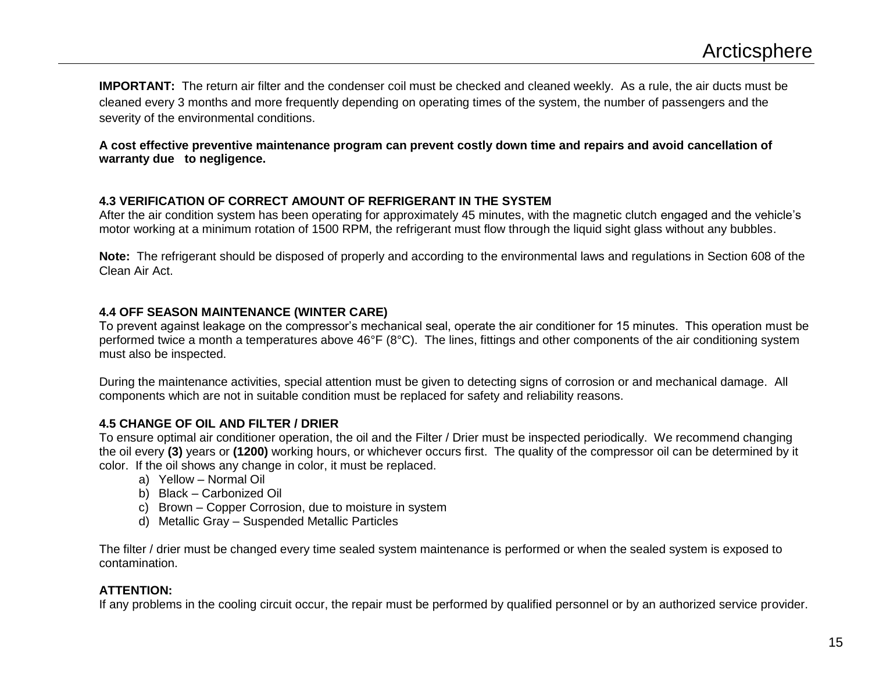**IMPORTANT:** The return air filter and the condenser coil must be checked and cleaned weekly. As a rule, the air ducts must be cleaned every 3 months and more frequently depending on operating times of the system, the number of passengers and the severity of the environmental conditions.

**A cost effective preventive maintenance program can prevent costly down time and repairs and avoid cancellation of warranty due to negligence.** 

#### **4.3 VERIFICATION OF CORRECT AMOUNT OF REFRIGERANT IN THE SYSTEM**

After the air condition system has been operating for approximately 45 minutes, with the magnetic clutch engaged and the vehicle's motor working at a minimum rotation of 1500 RPM, the refrigerant must flow through the liquid sight glass without any bubbles.

**Note:** The refrigerant should be disposed of properly and according to the environmental laws and regulations in Section 608 of the Clean Air Act.

#### **4.4 OFF SEASON MAINTENANCE (WINTER CARE)**

To prevent against leakage on the compressor's mechanical seal, operate the air conditioner for 15 minutes. This operation must be performed twice a month a temperatures above 46°F (8°C). The lines, fittings and other components of the air conditioning system must also be inspected.

During the maintenance activities, special attention must be given to detecting signs of corrosion or and mechanical damage. All components which are not in suitable condition must be replaced for safety and reliability reasons.

#### **4.5 CHANGE OF OIL AND FILTER / DRIER**

To ensure optimal air conditioner operation, the oil and the Filter / Drier must be inspected periodically. We recommend changing the oil every **(3)** years or **(1200)** working hours, or whichever occurs first. The quality of the compressor oil can be determined by it color. If the oil shows any change in color, it must be replaced.

- a) Yellow Normal Oil
- b) Black Carbonized Oil
- c) Brown Copper Corrosion, due to moisture in system
- d) Metallic Gray Suspended Metallic Particles

The filter / drier must be changed every time sealed system maintenance is performed or when the sealed system is exposed to contamination.

#### **ATTENTION:**

If any problems in the cooling circuit occur, the repair must be performed by qualified personnel or by an authorized service provider.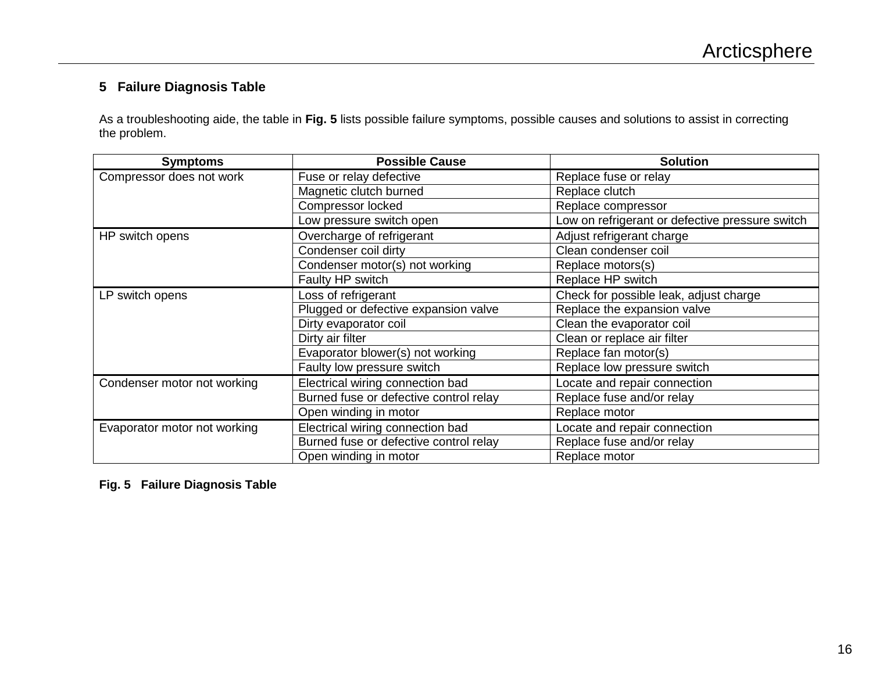#### **5 Failure Diagnosis Table**

As a troubleshooting aide, the table in **Fig. 5** lists possible failure symptoms, possible causes and solutions to assist in correcting the problem.

| <b>Symptoms</b>              | <b>Possible Cause</b>                  | <b>Solution</b>                                 |  |
|------------------------------|----------------------------------------|-------------------------------------------------|--|
| Compressor does not work     | Fuse or relay defective                | Replace fuse or relay                           |  |
|                              | Magnetic clutch burned                 | Replace clutch                                  |  |
|                              | Compressor locked                      | Replace compressor                              |  |
|                              | Low pressure switch open               | Low on refrigerant or defective pressure switch |  |
| HP switch opens              | Overcharge of refrigerant              | Adjust refrigerant charge                       |  |
|                              | Condenser coil dirty                   | Clean condenser coil                            |  |
|                              | Condenser motor(s) not working         | Replace motors(s)                               |  |
|                              | Faulty HP switch                       | Replace HP switch                               |  |
| LP switch opens              | Loss of refrigerant                    | Check for possible leak, adjust charge          |  |
|                              | Plugged or defective expansion valve   | Replace the expansion valve                     |  |
|                              | Dirty evaporator coil                  | Clean the evaporator coil                       |  |
|                              | Dirty air filter                       | Clean or replace air filter                     |  |
|                              | Evaporator blower(s) not working       | Replace fan motor(s)                            |  |
|                              | Faulty low pressure switch             | Replace low pressure switch                     |  |
| Condenser motor not working  | Electrical wiring connection bad       | Locate and repair connection                    |  |
|                              | Burned fuse or defective control relay | Replace fuse and/or relay                       |  |
|                              | Open winding in motor                  | Replace motor                                   |  |
| Evaporator motor not working | Electrical wiring connection bad       | Locate and repair connection                    |  |
|                              | Burned fuse or defective control relay | Replace fuse and/or relay                       |  |
|                              | Open winding in motor                  | Replace motor                                   |  |

**Fig. 5 Failure Diagnosis Table**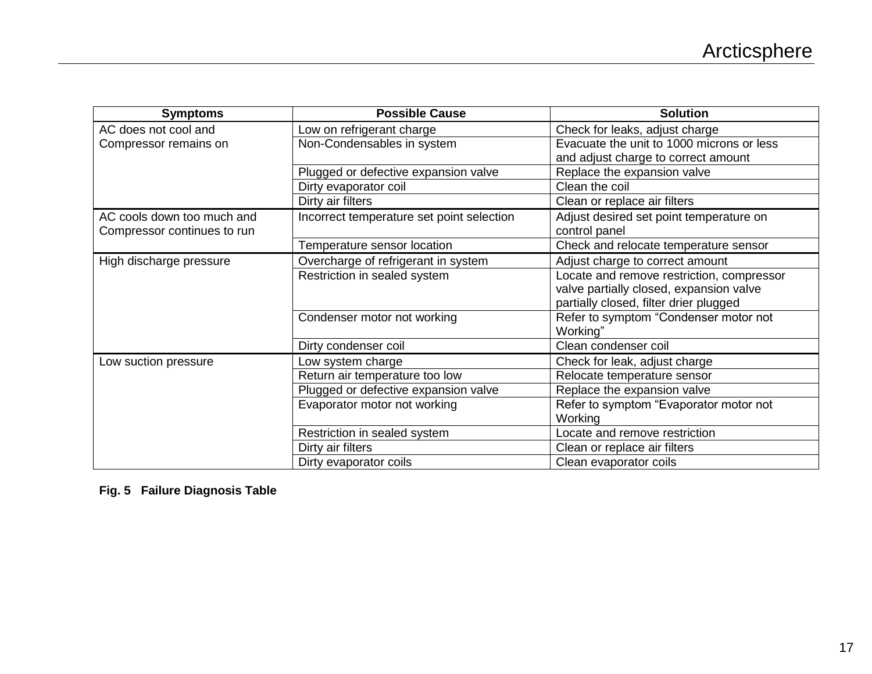| <b>Symptoms</b>             | <b>Possible Cause</b>                     | <b>Solution</b>                           |
|-----------------------------|-------------------------------------------|-------------------------------------------|
| AC does not cool and        | Low on refrigerant charge                 | Check for leaks, adjust charge            |
| Compressor remains on       | Non-Condensables in system                | Evacuate the unit to 1000 microns or less |
|                             |                                           | and adjust charge to correct amount       |
|                             | Plugged or defective expansion valve      | Replace the expansion valve               |
|                             | Dirty evaporator coil                     | Clean the coil                            |
|                             | Dirty air filters                         | Clean or replace air filters              |
| AC cools down too much and  | Incorrect temperature set point selection | Adjust desired set point temperature on   |
| Compressor continues to run |                                           | control panel                             |
|                             | Temperature sensor location               | Check and relocate temperature sensor     |
| High discharge pressure     | Overcharge of refrigerant in system       | Adjust charge to correct amount           |
|                             | Restriction in sealed system              | Locate and remove restriction, compressor |
|                             |                                           | valve partially closed, expansion valve   |
|                             |                                           | partially closed, filter drier plugged    |
|                             | Condenser motor not working               | Refer to symptom "Condenser motor not     |
|                             |                                           | Working"                                  |
|                             | Dirty condenser coil                      | Clean condenser coil                      |
| Low suction pressure        | Low system charge                         | Check for leak, adjust charge             |
|                             | Return air temperature too low            | Relocate temperature sensor               |
|                             | Plugged or defective expansion valve      | Replace the expansion valve               |
|                             | Evaporator motor not working              | Refer to symptom "Evaporator motor not    |
|                             |                                           | Working                                   |
|                             | Restriction in sealed system              | Locate and remove restriction             |
|                             | Dirty air filters                         | Clean or replace air filters              |
|                             | Dirty evaporator coils                    | Clean evaporator coils                    |

**Fig. 5 Failure Diagnosis Table**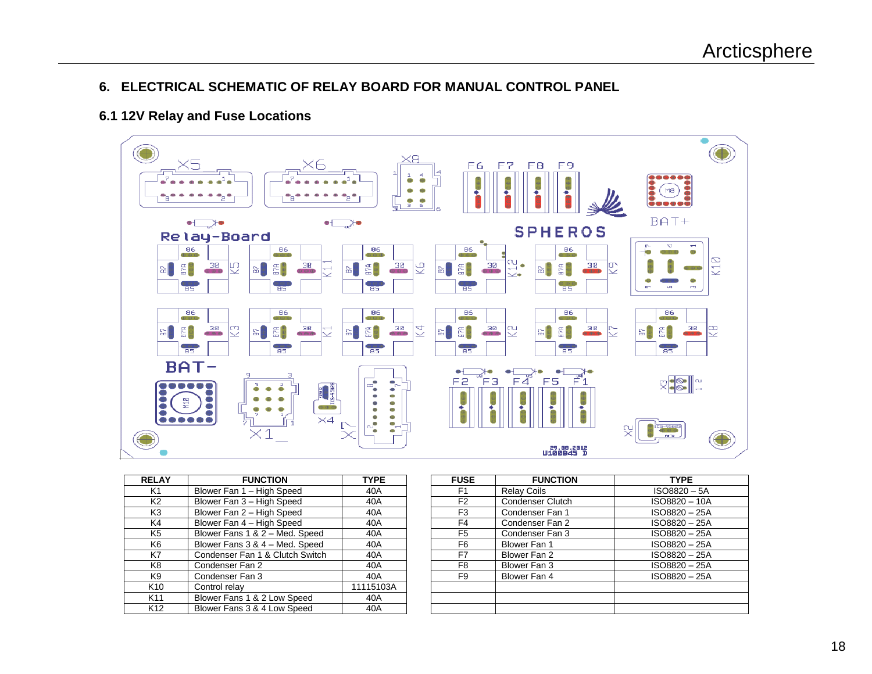#### **6. ELECTRICAL SCHEMATIC OF RELAY BOARD FOR MANUAL CONTROL PANEL**

#### **6.1 12V Relay and Fuse Locations**



| <b>RELAY</b>    | <b>FUNCTION</b>                 | <b>TYPE</b> | <b>FUSE</b>    | <b>FUNCTION</b>         | <b>TYPE</b> |
|-----------------|---------------------------------|-------------|----------------|-------------------------|-------------|
| K1              | Blower Fan 1 - High Speed       | 40A         | F <sub>1</sub> | <b>Relay Coils</b>      | ISO8820 -   |
| K <sub>2</sub>  | Blower Fan 3 - High Speed       | 40A         | F <sub>2</sub> | <b>Condenser Clutch</b> | ISO8820-    |
| K3              | Blower Fan 2 - High Speed       | 40A         | F <sub>3</sub> | Condenser Fan 1         | ISO8820-    |
| K4              | Blower Fan 4 - High Speed       | 40A         | F <sub>4</sub> | Condenser Fan 2         | ISO8820-    |
| K5              | Blower Fans 1 & 2 - Med. Speed  | 40A         | F <sub>5</sub> | Condenser Fan 3         | ISO8820-    |
| K6              | Blower Fans 3 & 4 - Med. Speed  | 40A         | F6             | Blower Fan 1            | ISO8820-    |
| K7              | Condenser Fan 1 & Clutch Switch | 40A         | F7             | Blower Fan 2            | ISO8820-    |
| K8              | Condenser Fan 2                 | 40A         | F8             | Blower Fan 3            | ISO8820-    |
| K9              | Condenser Fan 3                 | 40A         | F <sub>9</sub> | Blower Fan 4            | ISO8820-    |
| K <sub>10</sub> | Control relay                   | 11115103A   |                |                         |             |
| K11             | Blower Fans 1 & 2 Low Speed     | 40A         |                |                         |             |
| K <sub>12</sub> | Blower Fans 3 & 4 Low Speed     | 40A         |                |                         |             |

| <b>ELAY</b>    | <b>FUNCTION</b>                 | <b>TYPE</b> | <b>FUSE</b>    | <b>FUNCTION</b>    | <b>TYPE</b>   |
|----------------|---------------------------------|-------------|----------------|--------------------|---------------|
| K1             | Blower Fan 1 - High Speed       | 40A         | F <sub>1</sub> | <b>Relay Coils</b> | ISO8820-5A    |
| К2             | Blower Fan 3 - High Speed       | 40A         | F <sub>2</sub> | Condenser Clutch   | ISO8820-10A   |
| K3             | Blower Fan 2 - High Speed       | 40A         | F <sub>3</sub> | Condenser Fan 1    | ISO8820-25A   |
| K4             | Blower Fan 4 - High Speed       | 40A         | F4             | Condenser Fan 2    | ISO8820-25A   |
| K5             | Blower Fans 1 & 2 - Med. Speed  | 40A         | F <sub>5</sub> | Condenser Fan 3    | ISO8820-25A   |
| K6             | Blower Fans 3 & 4 - Med. Speed  | 40A         | F6             | Blower Fan 1       | ISO8820-25A   |
| $\overline{K}$ | Condenser Fan 1 & Clutch Switch | 40A         | F7             | Blower Fan 2       | ISO8820-25A   |
| K8             | Condenser Fan 2                 | 40A         | F <sub>8</sub> | Blower Fan 3       | ISO8820 - 25A |
| K9             | Condenser Fan 3                 | 40A         | F <sub>9</sub> | Blower Fan 4       | ISO8820-25A   |
| <b>&lt;10</b>  | Control relay                   | 11115103A   |                |                    |               |
| $11$           | Blower Fans 1 & 2 Low Speed     | 40A         |                |                    |               |
| (12)           | Blower Fans 3 & 4 Low Speed     | 40A         |                |                    |               |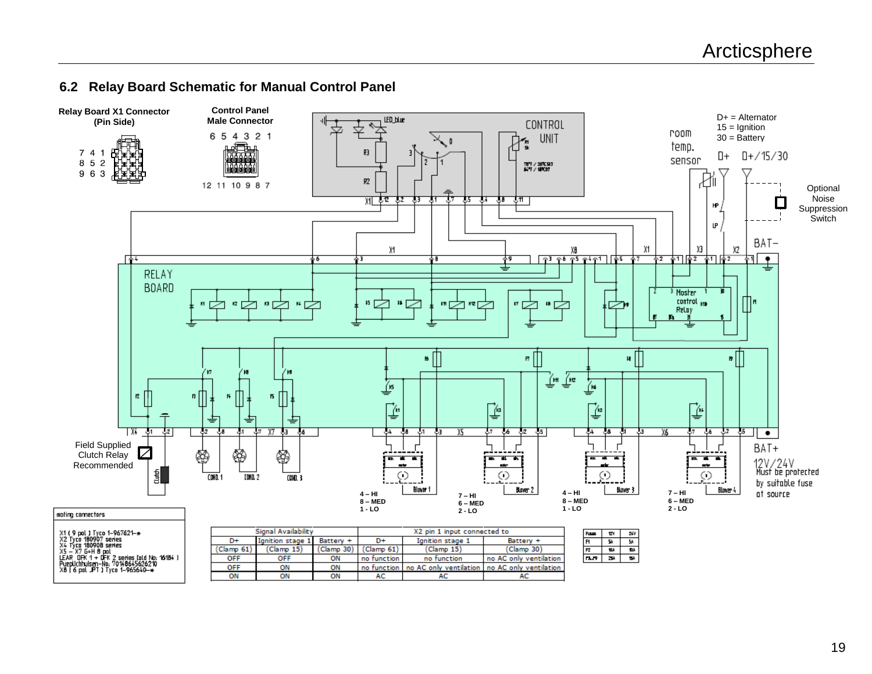#### **6.2 Relay Board Schematic for Manual Control Panel**

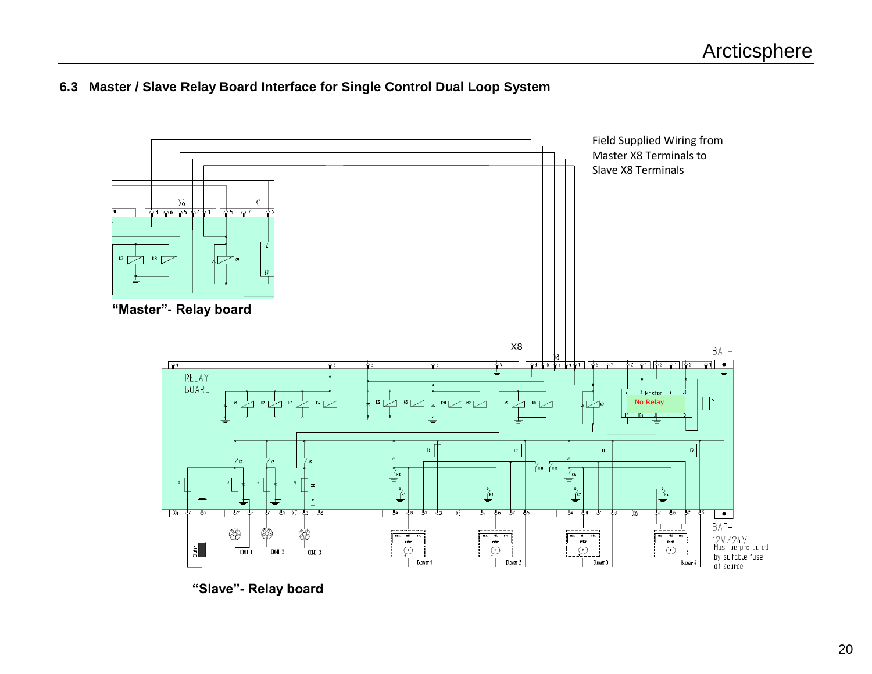#### **6.3 Master / Slave Relay Board Interface for Single Control Dual Loop System**



**"Slave"- Relay board**